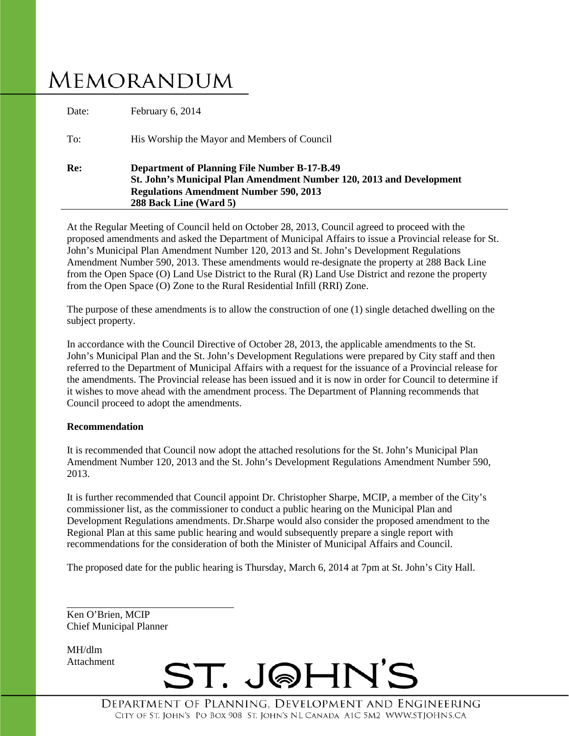# **MEMORANDUM**

| Re:   | <b>Department of Planning File Number B-17-B.49</b><br>St. John's Municipal Plan Amendment Number 120, 2013 and Development<br><b>Regulations Amendment Number 590, 2013</b><br>288 Back Line (Ward 5) |
|-------|--------------------------------------------------------------------------------------------------------------------------------------------------------------------------------------------------------|
| To:   | His Worship the Mayor and Members of Council                                                                                                                                                           |
| Date: | February 6, 2014                                                                                                                                                                                       |

At the Regular Meeting of Council held on October 28, 2013, Council agreed to proceed with the proposed amendments and asked the Department of Municipal Affairs to issue a Provincial release for St. John's Municipal Plan Amendment Number 120, 2013 and St. John's Development Regulations Amendment Number 590, 2013. These amendments would re-designate the property at 288 Back Line from the Open Space (O) Land Use District to the Rural (R) Land Use District and rezone the property from the Open Space (O) Zone to the Rural Residential Infill (RRI) Zone.

The purpose of these amendments is to allow the construction of one (1) single detached dwelling on the subject property.

In accordance with the Council Directive of October 28, 2013, the applicable amendments to the St. John's Municipal Plan and the St. John's Development Regulations were prepared by City staff and then referred to the Department of Municipal Affairs with a request for the issuance of a Provincial release for the amendments. The Provincial release has been issued and it is now in order for Council to determine if it wishes to move ahead with the amendment process. The Department of Planning recommends that Council proceed to adopt the amendments.

#### **Recommendation**

It is recommended that Council now adopt the attached resolutions for the St. John's Municipal Plan Amendment Number 120, 2013 and the St. John's Development Regulations Amendment Number 590, 2013.

It is further recommended that Council appoint Dr. Christopher Sharpe, MCIP, a member of the City's commissioner list, as the commissioner to conduct a public hearing on the Municipal Plan and Development Regulations amendments. Dr.Sharpe would also consider the proposed amendment to the Regional Plan at this same public hearing and would subsequently prepare a single report with recommendations for the consideration of both the Minister of Municipal Affairs and Council.

The proposed date for the public hearing is Thursday, March 6, 2014 at 7pm at St. John's City Hall.

Ken O'Brien, MCIP Chief Municipal Planner

MH/dlm Attachment

ST. J@HN'S

DEPARTMENT OF PLANNING. DEVELOPMENT AND ENGINEERING CITY OF ST. JOHN'S PO BOX 908 ST. JOHN'S NL CANADA A1C 5M2 WWW.STJOHNS.CA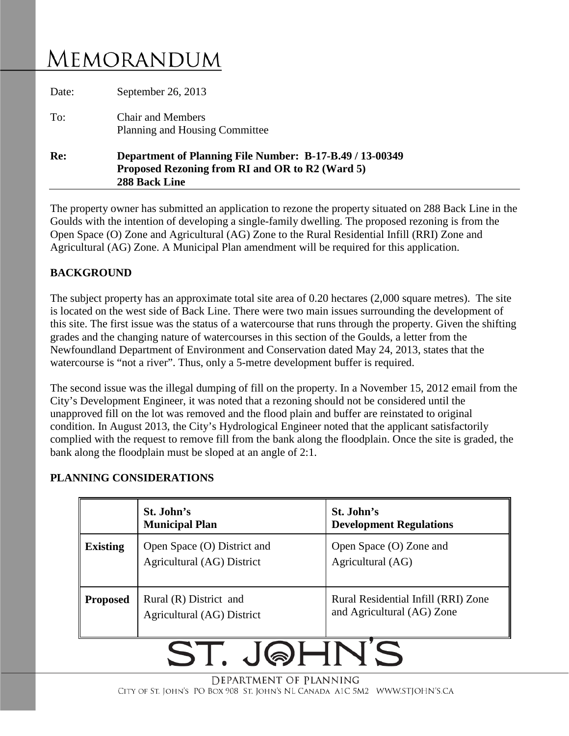## MEMORANDUM

| Re:   | Department of Planning File Number: B-17-B.49 / 13-00349<br>Proposed Rezoning from RI and OR to R2 (Ward 5)<br>288 Back Line |
|-------|------------------------------------------------------------------------------------------------------------------------------|
| To:   | <b>Chair and Members</b><br>Planning and Housing Committee                                                                   |
| Date: | September 26, 2013                                                                                                           |

The property owner has submitted an application to rezone the property situated on 288 Back Line in the Goulds with the intention of developing a single-family dwelling. The proposed rezoning is from the Open Space (O) Zone and Agricultural (AG) Zone to the Rural Residential Infill (RRI) Zone and Agricultural (AG) Zone. A Municipal Plan amendment will be required for this application.

#### **BACKGROUND**

The subject property has an approximate total site area of 0.20 hectares (2,000 square metres). The site is located on the west side of Back Line. There were two main issues surrounding the development of this site. The first issue was the status of a watercourse that runs through the property. Given the shifting grades and the changing nature of watercourses in this section of the Goulds, a letter from the Newfoundland Department of Environment and Conservation dated May 24, 2013, states that the watercourse is "not a river". Thus, only a 5-metre development buffer is required.

The second issue was the illegal dumping of fill on the property. In a November 15, 2012 email from the City's Development Engineer, it was noted that a rezoning should not be considered until the unapproved fill on the lot was removed and the flood plain and buffer are reinstated to original condition. In August 2013, the City's Hydrological Engineer noted that the applicant satisfactorily complied with the request to remove fill from the bank along the floodplain. Once the site is graded, the bank along the floodplain must be sloped at an angle of 2:1.

#### **PLANNING CONSIDERATIONS**

|                 | St. John's<br><b>Municipal Plan</b>                       | St. John's<br><b>Development Regulations</b>                      |
|-----------------|-----------------------------------------------------------|-------------------------------------------------------------------|
| <b>Existing</b> | Open Space (O) District and<br>Agricultural (AG) District | Open Space (O) Zone and<br>Agricultural (AG)                      |
| <b>Proposed</b> | Rural (R) District and<br>Agricultural (AG) District      | Rural Residential Infill (RRI) Zone<br>and Agricultural (AG) Zone |

# ST. JQHNS

DEPARTMENT OF PLANNING CITY OF ST. JOHN'S PO BOX 908 ST. JOHN'S NL CANADA A1C 5M2 WWW.STJOHN'S.CA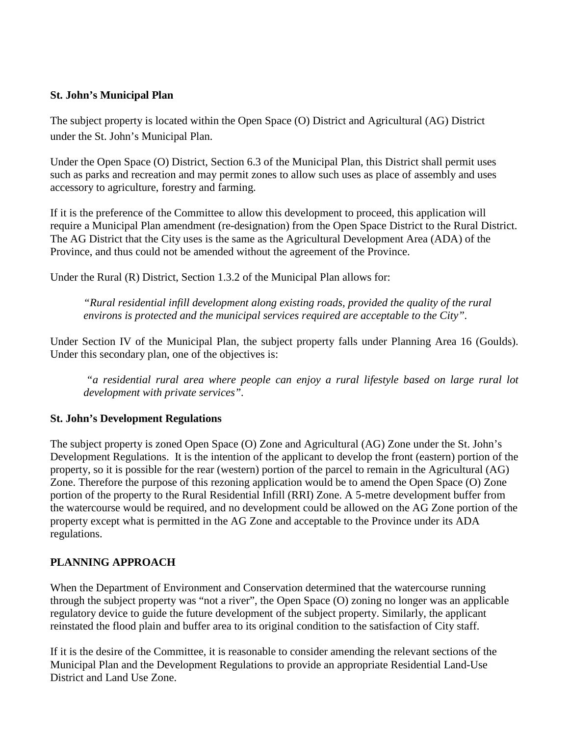#### **St. John's Municipal Plan**

The subject property is located within the Open Space (O) District and Agricultural (AG) District under the St. John's Municipal Plan.

Under the Open Space (O) District, Section 6.3 of the Municipal Plan, this District shall permit uses such as parks and recreation and may permit zones to allow such uses as place of assembly and uses accessory to agriculture, forestry and farming.

If it is the preference of the Committee to allow this development to proceed, this application will require a Municipal Plan amendment (re-designation) from the Open Space District to the Rural District. The AG District that the City uses is the same as the Agricultural Development Area (ADA) of the Province, and thus could not be amended without the agreement of the Province.

Under the Rural (R) District, Section 1.3.2 of the Municipal Plan allows for:

*"Rural residential infill development along existing roads, provided the quality of the rural environs is protected and the municipal services required are acceptable to the City".*

Under Section IV of the Municipal Plan, the subject property falls under Planning Area 16 (Goulds). Under this secondary plan, one of the objectives is:

*"a residential rural area where people can enjoy a rural lifestyle based on large rural lot development with private services".* 

#### **St. John's Development Regulations**

The subject property is zoned Open Space (O) Zone and Agricultural (AG) Zone under the St. John's Development Regulations. It is the intention of the applicant to develop the front (eastern) portion of the property, so it is possible for the rear (western) portion of the parcel to remain in the Agricultural (AG) Zone. Therefore the purpose of this rezoning application would be to amend the Open Space (O) Zone portion of the property to the Rural Residential Infill (RRI) Zone. A 5-metre development buffer from the watercourse would be required, and no development could be allowed on the AG Zone portion of the property except what is permitted in the AG Zone and acceptable to the Province under its ADA regulations.

#### **PLANNING APPROACH**

When the Department of Environment and Conservation determined that the watercourse running through the subject property was "not a river", the Open Space (O) zoning no longer was an applicable regulatory device to guide the future development of the subject property. Similarly, the applicant reinstated the flood plain and buffer area to its original condition to the satisfaction of City staff.

If it is the desire of the Committee, it is reasonable to consider amending the relevant sections of the Municipal Plan and the Development Regulations to provide an appropriate Residential Land-Use District and Land Use Zone.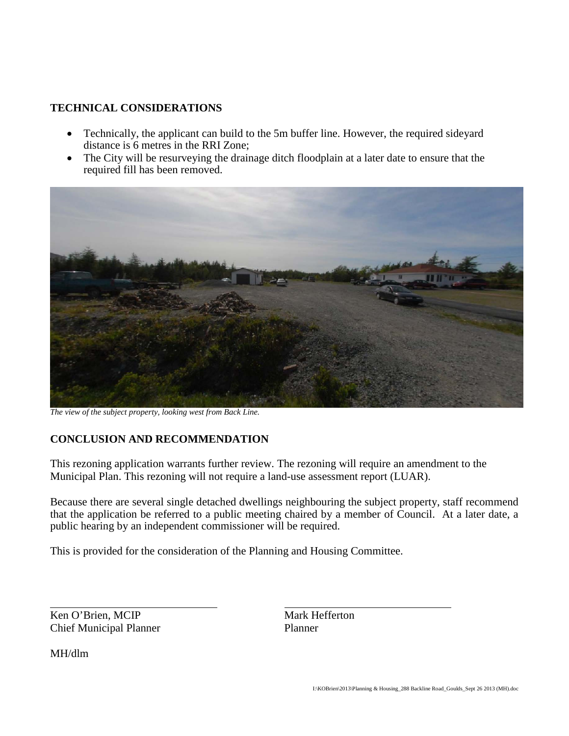#### **TECHNICAL CONSIDERATIONS**

- Technically, the applicant can build to the 5m buffer line. However, the required sideyard distance is 6 metres in the RRI Zone;
- The City will be resurveying the drainage ditch floodplain at a later date to ensure that the required fill has been removed.



*The view of the subject property, looking west from Back Line.*

#### **CONCLUSION AND RECOMMENDATION**

This rezoning application warrants further review. The rezoning will require an amendment to the Municipal Plan. This rezoning will not require a land-use assessment report (LUAR).

Because there are several single detached dwellings neighbouring the subject property, staff recommend that the application be referred to a public meeting chaired by a member of Council. At a later date, a public hearing by an independent commissioner will be required.

This is provided for the consideration of the Planning and Housing Committee.

Ken O'Brien, MCIP Mark Hefferton Chief Municipal Planner Planner

MH/dlm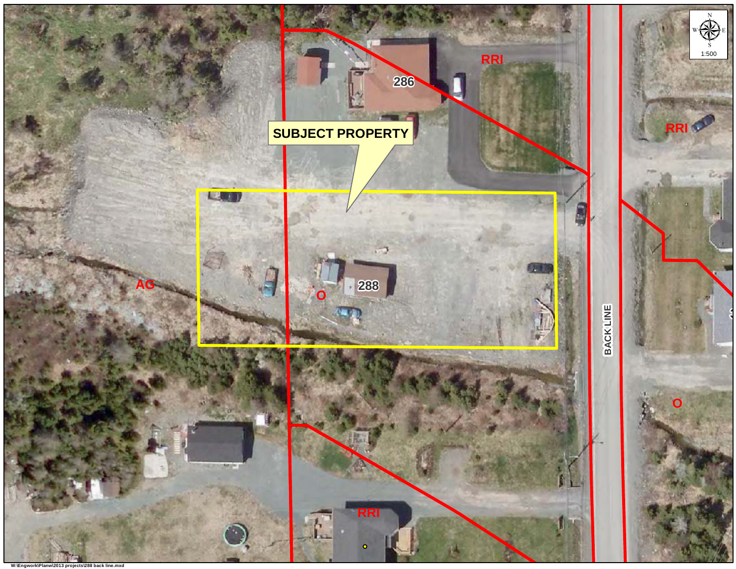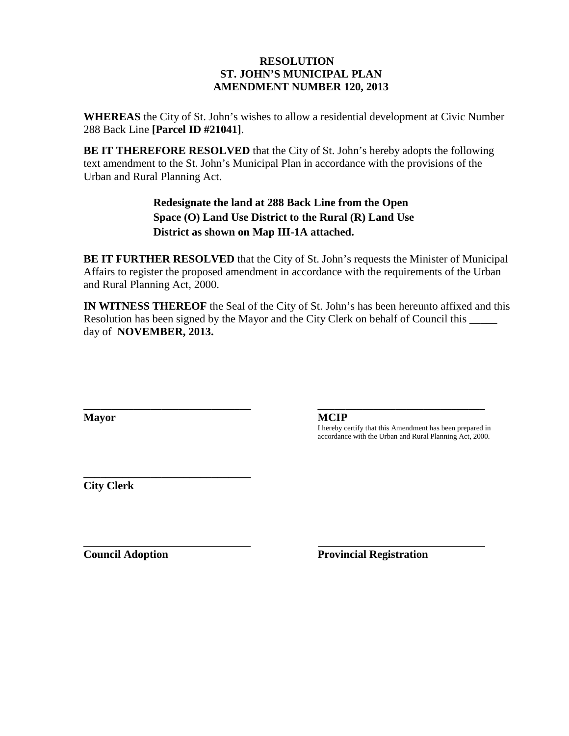#### **RESOLUTION ST. JOHN'S MUNICIPAL PLAN AMENDMENT NUMBER 120, 2013**

**WHEREAS** the City of St. John's wishes to allow a residential development at Civic Number 288 Back Line **[Parcel ID #21041]**.

**BE IT THEREFORE RESOLVED** that the City of St. John's hereby adopts the following text amendment to the St. John's Municipal Plan in accordance with the provisions of the Urban and Rural Planning Act.

> **Redesignate the land at 288 Back Line from the Open Space (O) Land Use District to the Rural (R) Land Use District as shown on Map III-1A attached.**

**BE IT FURTHER RESOLVED** that the City of St. John's requests the Minister of Municipal Affairs to register the proposed amendment in accordance with the requirements of the Urban and Rural Planning Act, 2000.

**IN WITNESS THEREOF** the Seal of the City of St. John's has been hereunto affixed and this Resolution has been signed by the Mayor and the City Clerk on behalf of Council this day of **NOVEMBER, 2013.**

**Mayor MCIP**

**\_\_\_\_\_\_\_\_\_\_\_\_\_\_\_\_\_\_\_\_\_\_\_\_\_\_\_\_\_\_ \_\_\_\_\_\_\_\_\_\_\_\_\_\_\_\_\_\_\_\_\_\_\_\_\_\_\_\_\_\_**

I hereby certify that this Amendment has been prepared in accordance with the Urban and Rural Planning Act, 2000.

**\_\_\_\_\_\_\_\_\_\_\_\_\_\_\_\_\_\_\_\_\_\_\_\_\_\_\_\_\_\_ City Clerk**

**Council Adoption Provincial Registration**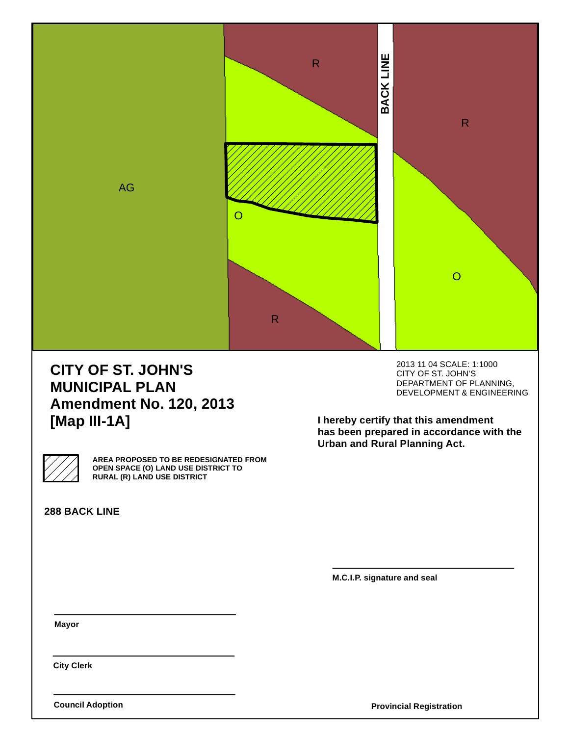

## **CITY OF ST. JOHN'S MUNICIPAL PLAN Amendment No. 120, 2013 [Map III-1A]**

2013 11 04 SCALE: 1:1000 CITY OF ST. JOHN'S DEPARTMENT OF PLANNING, DEVELOPMENT & ENGINEERING

**I hereby certify that this amendment has been prepared in accordance with the Urban and Rural Planning Act.**

**AREA PROPOSED TO BE REDESIGNATED FROM OPEN SPACE (O) LAND USE DISTRICT TO RURAL (R) LAND USE DISTRICT**

**288 BACK LINE**

**M.C.I.P. signature and seal**

**Mayor**

**City Clerk**

**Council Adoption**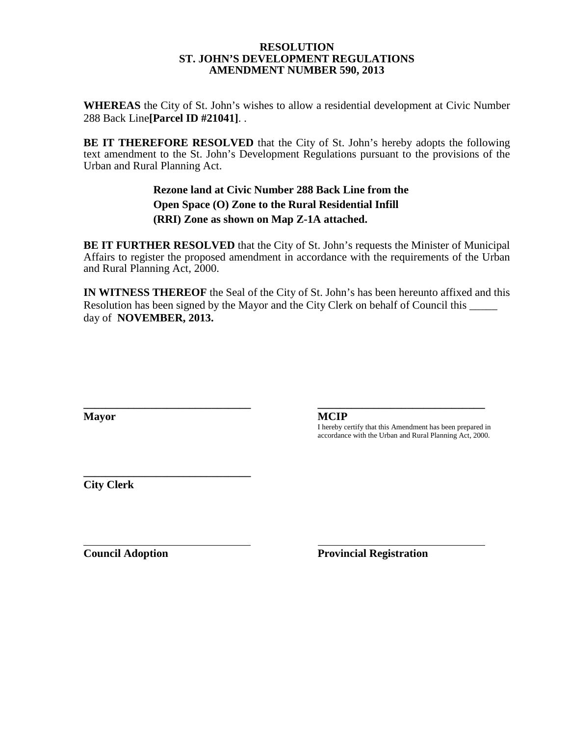#### **RESOLUTION ST. JOHN'S DEVELOPMENT REGULATIONS AMENDMENT NUMBER 590, 2013**

**WHEREAS** the City of St. John's wishes to allow a residential development at Civic Number 288 Back Line**[Parcel ID #21041]**. .

**BE IT THEREFORE RESOLVED** that the City of St. John's hereby adopts the following text amendment to the St. John's Development Regulations pursuant to the provisions of the Urban and Rural Planning Act.

#### **Rezone land at Civic Number 288 Back Line from the Open Space (O) Zone to the Rural Residential Infill (RRI) Zone as shown on Map Z-1A attached.**

**BE IT FURTHER RESOLVED** that the City of St. John's requests the Minister of Municipal Affairs to register the proposed amendment in accordance with the requirements of the Urban and Rural Planning Act, 2000.

**IN WITNESS THEREOF** the Seal of the City of St. John's has been hereunto affixed and this Resolution has been signed by the Mayor and the City Clerk on behalf of Council this \_\_\_\_\_\_ day of **NOVEMBER, 2013.**

**\_\_\_\_\_\_\_\_\_\_\_\_\_\_\_\_\_\_\_\_\_\_\_\_\_\_\_\_\_\_ \_\_\_\_\_\_\_\_\_\_\_\_\_\_\_\_\_\_\_\_\_\_\_\_\_\_\_\_\_\_**

**Mayor MCIP**

I hereby certify that this Amendment has been prepared in accordance with the Urban and Rural Planning Act, 2000.

**\_\_\_\_\_\_\_\_\_\_\_\_\_\_\_\_\_\_\_\_\_\_\_\_\_\_\_\_\_\_ City Clerk**

**Council Adoption Provincial Registration**